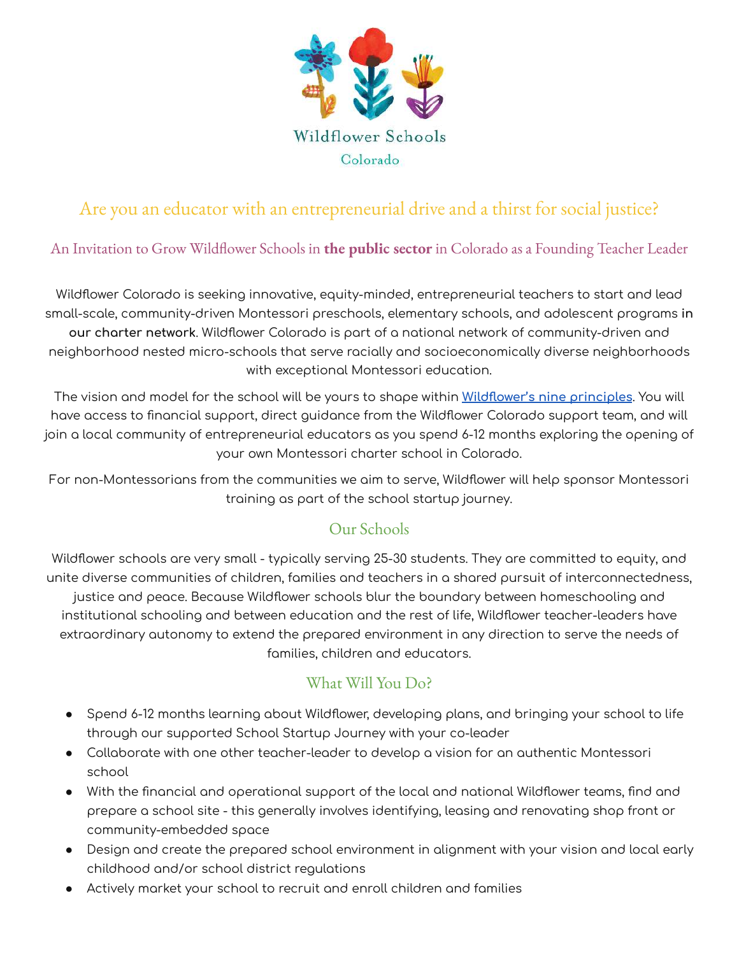

# Are you an educator with an entrepreneurial drive and a thirst for social justice?

### An Invitation to Grow Wildflower Schools in **the public sector** in Colorado as a Founding Teacher Leader

Wildflower Colorado is seeking innovative, equity-minded, entrepreneurial teachers to start and lead small-scale, community-driven Montessori preschools, elementary schools, and adolescent programs **in our charter network**. Wildflower Colorado is part of a national network of community-driven and neighborhood nested micro-schools that serve racially and socioeconomically diverse neighborhoods with exceptional Montessori education.

The vision and model for the school will be yours to shape within **[Wildflower's nine principles](https://wildflowerschools.org/our-beliefs/)**. You will have access to financial support, direct guidance from the Wildflower Colorado support team, and will join a local community of entrepreneurial educators as you spend 6-12 months exploring the opening of your own Montessori charter school in Colorado.

For non-Montessorians from the communities we aim to serve, Wildflower will help sponsor Montessori training as part of the school startup journey.

### Our Schools

Wildflower schools are very small - typically serving 25-30 students. They are committed to equity, and unite diverse communities of children, families and teachers in a shared pursuit of interconnectedness, justice and peace. Because Wildflower schools blur the boundary between homeschooling and institutional schooling and between education and the rest of life, Wildflower teacher-leaders have extraordinary autonomy to extend the prepared environment in any direction to serve the needs of families, children and educators.

#### What Will You Do?

- Spend 6-12 months learning about Wildflower, developing plans, and bringing your school to life through our supported School Startup Journey with your co-leader
- Collaborate with one other teacher-leader to develop a vision for an authentic Montessori school
- With the financial and operational support of the local and national Wildflower teams, find and prepare a school site - this generally involves identifying, leasing and renovating shop front or community-embedded space
- Design and create the prepared school environment in alignment with your vision and local early childhood and/or school district regulations
- Actively market your school to recruit and enroll children and families